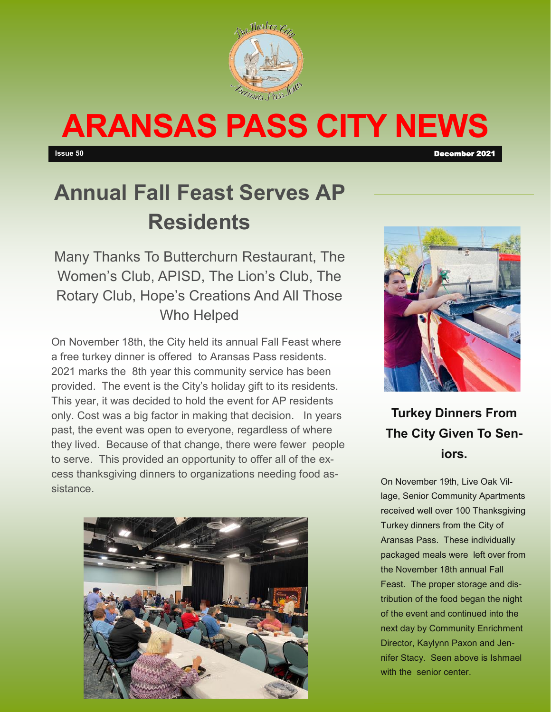

# **ARANSAS PASS CITY NEWS**

**Issue 50** December 2021

# **Annual Fall Feast Serves AP Residents**

Many Thanks To Butterchurn Restaurant, The Women's Club, APISD, The Lion's Club, The Rotary Club, Hope's Creations And All Those Who Helped

On November 18th, the City held its annual Fall Feast where a free turkey dinner is offered to Aransas Pass residents. 2021 marks the 8th year this community service has been provided. The event is the City's holiday gift to its residents. This year, it was decided to hold the event for AP residents only. Cost was a big factor in making that decision. In years past, the event was open to everyone, regardless of where they lived. Because of that change, there were fewer people to serve. This provided an opportunity to offer all of the excess thanksgiving dinners to organizations needing food assistance.





**Turkey Dinners From The City Given To Seniors.** 

On November 19th, Live Oak Village, Senior Community Apartments received well over 100 Thanksgiving Turkey dinners from the City of Aransas Pass. These individually packaged meals were left over from the November 18th annual Fall Feast. The proper storage and distribution of the food began the night of the event and continued into the next day by Community Enrichment Director, Kaylynn Paxon and Jennifer Stacy. Seen above is Ishmael with the senior center.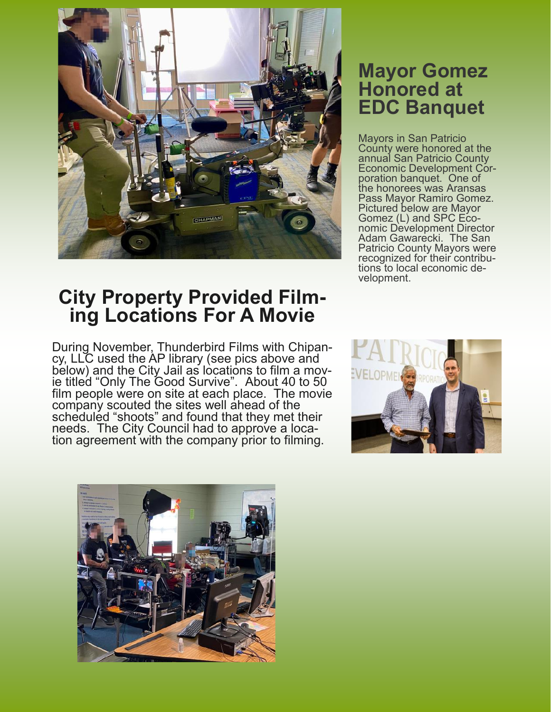

# **City Property Provided Filming Locations For A Movie**

During November, Thunderbird Films with Chipancy, LLC used the AP library (see pics above and below) and the City Jail as lòcations to film a movie titled "Only The Good Survive". About 40 to 50 film people were on site at each place. The movie company scouted the sites well ahead of the scheduled "shoots" and found that they met their needs. The City Council had to approve a location agreement with the company prior to filming.

### **Mayor Gomez Honored at EDC Banquet**

Mayors in San Patricio County were honored at the annual San Patricio County Economic Development Corporation banquet. One of the honorees was Aransas Pass Mayor Ramiro Gomez. Pictured below are Mayor Gomez (L) and SPC Economic Development Director Adam Gawarecki. The San Patricio County Mayors were recognized for their contributions to local economic development.



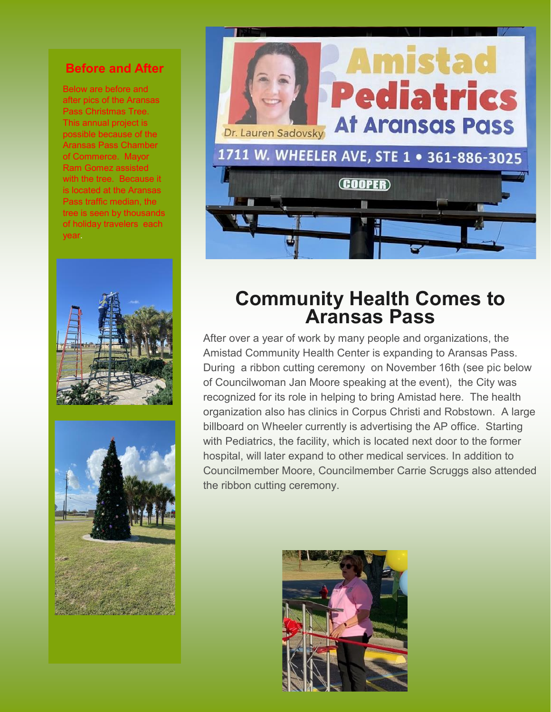#### **Before and After**

Below are before and after pics of the Aransas Pass Christmas Tree. This annual project is possible because of the Aransas Pass Chamber of Commerce. Mayor Ram Gomez assisted with the tree. Because it is located at the Aransas Pass traffic median, the tree is seen by thousands of holiday travelers each year.







## **Community Health Comes to Aransas Pass**

After over a year of work by many people and organizations, the Amistad Community Health Center is expanding to Aransas Pass. During a ribbon cutting ceremony on November 16th (see pic below of Councilwoman Jan Moore speaking at the event), the City was recognized for its role in helping to bring Amistad here. The health organization also has clinics in Corpus Christi and Robstown. A large billboard on Wheeler currently is advertising the AP office. Starting with Pediatrics, the facility, which is located next door to the former hospital, will later expand to other medical services. In addition to Councilmember Moore, Councilmember Carrie Scruggs also attended the ribbon cutting ceremony.